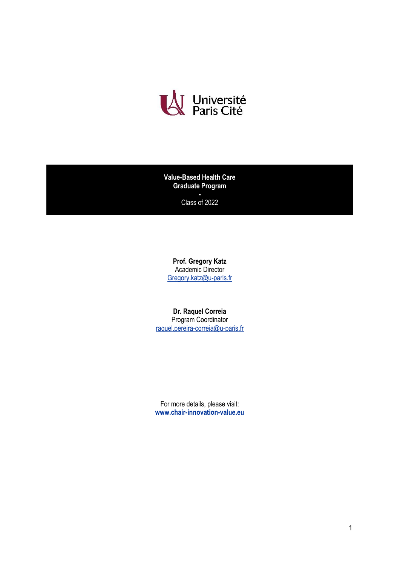

**Value-Based Health Care Graduate Program**

> **-** Class of 2022

**Prof. Gregory Katz** Academic Director [Gregory.katz@u-paris.fr](mailto:Gregory.katz@u-paris.fr)

**Dr. Raquel Correia** Program Coordinator [raquel.pereira-correia@u-paris.fr](mailto:raquel.pereira-correia@u-paris.fr)

For more details, please visit: **[www.chair-innovation-value.eu](http://www.chair-innovation-value.eu/)**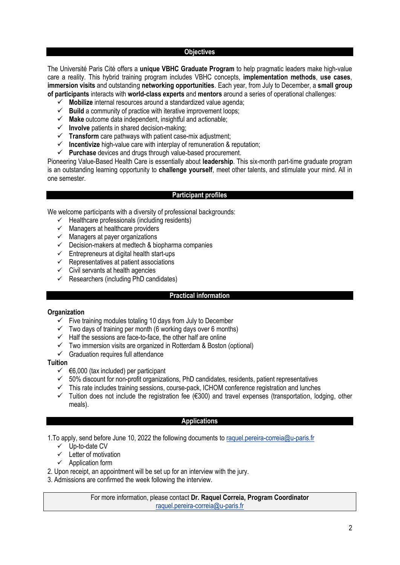### **Objectives**

The Université Paris Cité offers a **unique VBHC Graduate Program** to help pragmatic leaders make high-value care a reality. This hybrid training program includes VBHC concepts, **implementation methods**, **use cases**, **immersion visits** and outstanding **networking opportunities**. Each year, from July to December, a **small group of participants** interacts with **world-class experts** and **mentors** around a series of operational challenges:

- ✓ **Mobilize** internal resources around a standardized value agenda;
- ✓ **Build** a community of practice with iterative improvement loops;
- ✓ **Make** outcome data independent, insightful and actionable;
- ✓ **Involve** patients in shared decision-making;
- ✓ **Transform** care pathways with patient case-mix adjustment;
- ✓ **Incentivize** high-value care with interplay of remuneration & reputation;
- ✓ **Purchase** devices and drugs through value-based procurement.

Pioneering Value-Based Health Care is essentially about **leadership**. This six-month part-time graduate program is an outstanding learning opportunity to **challenge yourself**, meet other talents, and stimulate your mind. All in one semester.

### **Participant profiles**

We welcome participants with a diversity of professional backgrounds:

- $\checkmark$  Healthcare professionals (including residents)
- $\checkmark$  Managers at healthcare providers
- $\checkmark$  Managers at payer organizations
- $\checkmark$  Decision-makers at medtech & biopharma companies
- $\checkmark$  Entrepreneurs at digital health start-ups
- $\checkmark$  Representatives at patient associations
- $\checkmark$  Civil servants at health agencies
- $\checkmark$  Researchers (including PhD candidates)

### **Practical information**

### **Organization**

- $\checkmark$  Five training modules totaling 10 days from July to December
- $\checkmark$  Two days of training per month (6 working days over 6 months)
- $\checkmark$  Half the sessions are face-to-face, the other half are online
- $\checkmark$  Two immersion visits are organized in Rotterdam & Boston (optional)
- $\checkmark$  Graduation requires full attendance

### **Tuition**

- $\checkmark$   $\in$  6,000 (tax included) per participant
- $\checkmark$  50% discount for non-profit organizations, PhD candidates, residents, patient representatives
- This rate includes training sessions, course-pack, ICHOM conference registration and lunches
- ✓ Tuition does not include the registration fee (€300) and travel expenses (transportation, lodging, other meals).

## **Applications**

1. To apply, send before June 10, 2022 the following documents to [raquel.pereira-correia@u-paris.fr](mailto:raquel.pereira-correia@u-paris.fr)

- ✓ Up-to-date CV
- $\checkmark$  Letter of motivation
- ✓ [Application form](https://www.chair-innovation-value.eu/wp-content/uploads/2022/04/VBHC_GraduateProgram_Application_Form_2022.docx)
- 2. Upon receipt, an appointment will be set up for an interview with the jury.
- 3. Admissions are confirmed the week following the interview.

For more information, please contact **Dr. Raquel Correia, Program Coordinator** [raquel.pereira-correia@u-paris.fr](mailto:raquel.pereira-correia@u-paris.fr)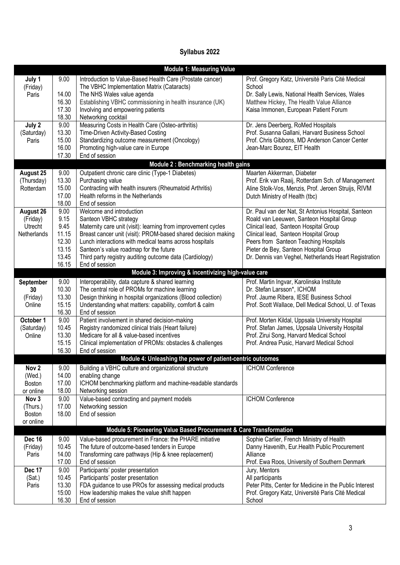# **Syllabus 2022**

| <b>Module 1: Measuring Value</b>                           |                                                                   |                                                                                                                                                                                                                                                                                                                                                                      |                                                                                                                                                                                                                                                                                                                               |
|------------------------------------------------------------|-------------------------------------------------------------------|----------------------------------------------------------------------------------------------------------------------------------------------------------------------------------------------------------------------------------------------------------------------------------------------------------------------------------------------------------------------|-------------------------------------------------------------------------------------------------------------------------------------------------------------------------------------------------------------------------------------------------------------------------------------------------------------------------------|
| July 1<br>(Friday)<br>Paris                                | 9.00<br>14.00<br>16.30<br>17.30<br>18.30                          | Introduction to Value-Based Health Care (Prostate cancer)<br>The VBHC Implementation Matrix (Cataracts)<br>The NHS Wales value agenda<br>Establishing VBHC commissioning in health insurance (UK)<br>Involving and empowering patients<br>Networking cocktail                                                                                                        | Prof. Gregory Katz, Université Paris Cité Medical<br>School<br>Dr. Sally Lewis, National Health Services, Wales<br>Matthew Hickey, The Health Value Alliance<br>Kaisa Immonen, European Patient Forum                                                                                                                         |
| July 2<br>(Saturday)<br>Paris                              | 9.00<br>13.30<br>15.00<br>16.00<br>17.30                          | Measuring Costs in Health Care (Osteo-arthritis)<br>Time-Driven Activity-Based Costing<br>Standardizing outcome measurement (Oncology)<br>Promoting high-value care in Europe<br>End of session                                                                                                                                                                      | Dr. Jens Deerberg, RoMed Hospitals<br>Prof. Susanna Gallani, Harvard Business School<br>Prof. Chris Gibbons, MD Anderson Cancer Center<br>Jean-Marc Bourez, EIT Health                                                                                                                                                        |
| Module 2 : Benchmarking health gains                       |                                                                   |                                                                                                                                                                                                                                                                                                                                                                      |                                                                                                                                                                                                                                                                                                                               |
| August 25<br>(Thursday)<br>Rotterdam                       | 9.00<br>13.30<br>15.00<br>17.00<br>18.00                          | Outpatient chronic care clinic (Type-1 Diabetes)<br>Purchasing value<br>Contracting with health insurers (Rheumatoid Arthritis)<br>Health reforms in the Netherlands<br>End of session                                                                                                                                                                               | Maarten Akkerman, Diabeter<br>Prof. Erik van Raaij, Rotterdam Sch. of Management<br>Aline Stolk-Vos, Menzis, Prof. Jeroen Struijs, RIVM<br>Dutch Ministry of Health (tbc)                                                                                                                                                     |
| <b>August 26</b><br>(Friday)<br>Utrecht<br>Netherlands     | 9.00<br>9.15<br>9.45<br>11.15<br>12.30<br>13.15<br>13.45<br>16.15 | Welcome and introduction<br>Santeon VBHC strategy<br>Maternity care unit (visit): learning from improvement cycles<br>Breast cancer unit (visit): PROM-based shared decision making<br>Lunch interactions with medical teams across hospitals<br>Santeon's value roadmap for the future<br>Third party registry auditing outcome data (Cardiology)<br>End of session | Dr. Paul van der Nat, St Antonius Hospital, Santeon<br>Roald van Leeuwen, Santeon Hospital Group<br>Clinical lead, Santeon Hospital Group<br>Clinical lead, Santeon Hospital Group<br>Peers from Santeon Teaching Hospitals<br>Pieter de Bey, Santeon Hospital Group<br>Dr. Dennis van Veghel, Netherlands Heart Registration |
| Module 3: Improving & incentivizing high-value care        |                                                                   |                                                                                                                                                                                                                                                                                                                                                                      |                                                                                                                                                                                                                                                                                                                               |
| September<br>30<br>(Friday)<br>Online                      | 9.00<br>10.30<br>13.30<br>15.15<br>16.30                          | Interoperability, data capture & shared learning<br>The central role of PROMs for machine learning<br>Design thinking in hospital organizations (Blood collection)<br>Understanding what matters: capability, comfort & calm<br>End of session                                                                                                                       | Prof. Martin Ingvar, Karolinska Institute<br>Dr. Stefan Larsson*, ICHOM<br>Prof. Jaume Ribera, IESE Business School<br>Prof. Scott Wallace, Dell Medical School, U. of Texas                                                                                                                                                  |
| October 1<br>(Saturday)<br>Online                          | 9.00<br>10.45<br>13.30<br>15.15<br>16.30                          | Patient involvement in shared decision-making<br>Registry randomized clinical trials (Heart failure)<br>Medicare for all & value-based incentives<br>Clinical implementation of PROMs: obstacles & challenges<br>End of session                                                                                                                                      | Prof. Morten Kildal, Uppsala University Hospital<br>Prof. Stefan James, Uppsala University Hospital<br>Prof. Zirui Song, Harvard Medical School<br>Prof. Andrea Pusic, Harvard Medical School                                                                                                                                 |
| Module 4: Unleashing the power of patient-centric outcomes |                                                                   |                                                                                                                                                                                                                                                                                                                                                                      |                                                                                                                                                                                                                                                                                                                               |
| Nov <sub>2</sub><br>(Wed.)<br><b>Boston</b><br>or online   | 9.00<br>14.00<br>17.00<br>18.00                                   | Building a VBHC culture and organizational structure<br>enabling change<br>ICHOM benchmarking platform and machine-readable standards<br>Networking session                                                                                                                                                                                                          | ICHOM Conference                                                                                                                                                                                                                                                                                                              |
| Nov <sub>3</sub><br>(Thurs.)<br>Boston<br>or online        | 9.00<br>17.00<br>18.00                                            | Value-based contracting and payment models<br>Networking session<br>End of session                                                                                                                                                                                                                                                                                   | ICHOM Conference                                                                                                                                                                                                                                                                                                              |
|                                                            |                                                                   | Module 5: Pioneering Value Based Procurement & Care Transformation                                                                                                                                                                                                                                                                                                   |                                                                                                                                                                                                                                                                                                                               |
| <b>Dec 16</b><br>(Friday)<br>Paris                         | 9.00<br>10.45<br>14.00<br>17.00                                   | Value-based procurement in France: the PHARE initiative<br>The future of outcome-based tenders in Europe<br>Transforming care pathways (Hip & knee replacement)<br>End of session                                                                                                                                                                                    | Sophie Carlier, French Ministry of Health<br>Danny Havenith, Eur. Health Public Procurement<br>Alliance<br>Prof. Ewa Roos, University of Southern Denmark                                                                                                                                                                     |
| Dec 17<br>(Sat.)<br>Paris                                  | 9.00<br>10.45<br>13.30<br>15:00<br>16.30                          | Participants' poster presentation<br>Participants' poster presentation<br>FDA guidance to use PROs for assessing medical products<br>How leadership makes the value shift happen<br>End of session                                                                                                                                                                   | Jury, Mentors<br>All participants<br>Peter Pitts, Center for Medicine in the Public Interest<br>Prof. Gregory Katz, Université Paris Cité Medical<br>School                                                                                                                                                                   |